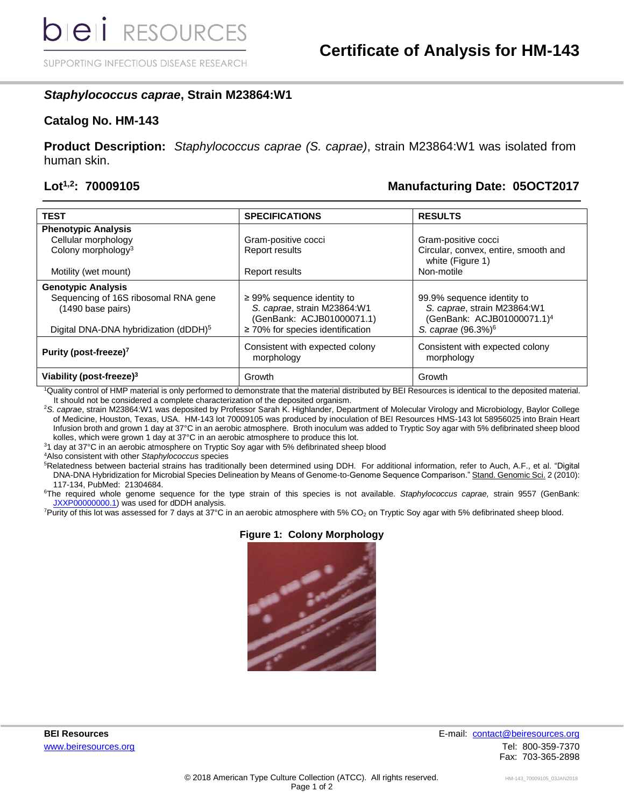SUPPORTING INFECTIOUS DISEASE RESEARCH

## *Staphylococcus caprae***, Strain M23864:W1**

#### **Catalog No. HM-143**

**Product Description:** *Staphylococcus caprae (S. caprae)*, strain M23864:W1 was isolated from human skin.

## **Lot1,2: 70009105 Manufacturing Date: 05OCT2017**

| <b>TEST</b>                                               | <b>SPECIFICATIONS</b>                                                                       | <b>RESULTS</b>                                                                                      |
|-----------------------------------------------------------|---------------------------------------------------------------------------------------------|-----------------------------------------------------------------------------------------------------|
| <b>Phenotypic Analysis</b>                                |                                                                                             |                                                                                                     |
| Cellular morphology                                       | Gram-positive cocci                                                                         | Gram-positive cocci                                                                                 |
| Colony morphology <sup>3</sup>                            | <b>Report results</b>                                                                       | Circular, convex, entire, smooth and<br>white (Figure 1)                                            |
| Motility (wet mount)                                      | Report results                                                                              | Non-motile                                                                                          |
| <b>Genotypic Analysis</b>                                 |                                                                                             |                                                                                                     |
| Sequencing of 16S ribosomal RNA gene<br>(1490 base pairs) | $\geq$ 99% sequence identity to<br>S. caprae, strain M23864:W1<br>(GenBank: ACJB01000071.1) | 99.9% sequence identity to<br>S. caprae, strain M23864:W1<br>(GenBank: ACJB01000071.1) <sup>4</sup> |
| Digital DNA-DNA hybridization (dDDH) <sup>5</sup>         | $\geq$ 70% for species identification                                                       | S. caprae $(96.3%)^6$                                                                               |
| Purity (post-freeze) <sup>7</sup>                         | Consistent with expected colony<br>morphology                                               | Consistent with expected colony<br>morphology                                                       |
| Viability (post-freeze) $3$                               | Growth                                                                                      | Growth                                                                                              |

<sup>1</sup>Quality control of HMP material is only performed to demonstrate that the material distributed by BEI Resources is identical to the deposited material. It should not be considered a complete characterization of the deposited organism.

<sup>2</sup>*S. caprae*, strain M23864:W1 was deposited by Professor Sarah K. Highlander, Department of Molecular Virology and Microbiology, Baylor College of Medicine, Houston, Texas, USA. HM-143 lot 70009105 was produced by inoculation of BEI Resources HMS-143 lot 58956025 into Brain Heart Infusion broth and grown 1 day at 37°C in an aerobic atmosphere. Broth inoculum was added to Tryptic Soy agar with 5% defibrinated sheep blood kolles, which were grown 1 day at 37°C in an aerobic atmosphere to produce this lot.

<sup>3</sup>1 day at 37°C in an aerobic atmosphere on Tryptic Soy agar with 5% defibrinated sheep blood

<sup>4</sup>Also consistent with other *Staphylococcus* species

<sup>5</sup>Relatedness between bacterial strains has traditionally been determined using DDH. For additional information, refer to Auch, A.F., et al. "Digital DNA-DNA Hybridization for Microbial Species Delineation by Means of Genome-to-Genome Sequence Comparison." Stand. Genomic Sci. 2 (2010): 117-134, PubMed: 21304684.

<sup>6</sup>The required whole genome sequence for the type strain of this species is not available. *Staphylococcus caprae,* strain 9557 (GenBank: [JXXP00000000.1\)](https://www.ncbi.nlm.nih.gov/nuccore/NZ_JXXP00000000.1) was used for dDDH analysis.

<sup>7</sup>Purity of this lot was assessed for 7 days at 37°C in an aerobic atmosphere with 5% CO<sub>2</sub> on Tryptic Soy agar with 5% defibrinated sheep blood.

#### **Figure 1: Colony Morphology**



**BEI Resources** E-mail: [contact@beiresources.org](mailto:contact@beiresources.org) [www.beiresources.org](http://www.beiresources.org/)Tel: 800-359-7370 Fax: 703-365-2898